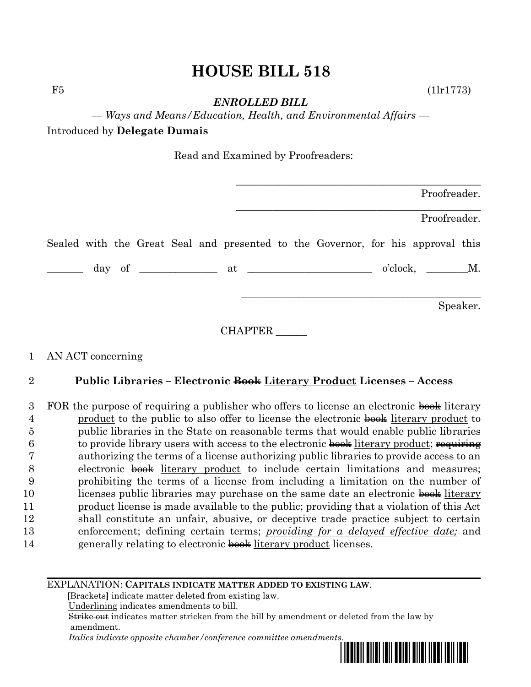## **HOUSE BILL 518**

 $F5$  (1lr1773)

*ENROLLED BILL*

*— Ways and Means/Education, Health, and Environmental Affairs —*

Introduced by **Delegate Dumais**

Read and Examined by Proofreaders:

|  |  |  | Proofreader.                                                                    |  |  |  |  |                 |              |          |  |
|--|--|--|---------------------------------------------------------------------------------|--|--|--|--|-----------------|--------------|----------|--|
|  |  |  |                                                                                 |  |  |  |  |                 | Proofreader. |          |  |
|  |  |  | Sealed with the Great Seal and presented to the Governor, for his approval this |  |  |  |  |                 |              |          |  |
|  |  |  |                                                                                 |  |  |  |  | $o'clock,$ $M.$ |              |          |  |
|  |  |  |                                                                                 |  |  |  |  |                 |              | Speaker. |  |

CHAPTER \_\_\_\_\_\_

## 1 AN ACT concerning

## 2 **Public Libraries – Electronic Book Literary Product Licenses – Access**

3 FOR the purpose of requiring a publisher who offers to license an electronic book literary 4 product to the public to also offer to license the electronic book literary product to 5 public libraries in the State on reasonable terms that would enable public libraries  $6$  to provide library users with access to the electronic book literary product; requiring 7 authorizing the terms of a license authorizing public libraries to provide access to an 8 electronic  $\frac{1}{2}$  electronic  $\frac{1}{2}$  electronic  $\frac{1}{2}$  is literary product to include certain limitations and measures; 9 prohibiting the terms of a license from including a limitation on the number of 10 licenses public libraries may purchase on the same date an electronic book literary 11 product license is made available to the public; providing that a violation of this Act 12 shall constitute an unfair, abusive, or deceptive trade practice subject to certain 13 enforcement; defining certain terms; *providing for a delayed effective date;* and 14 generally relating to electronic book literary product licenses.

## EXPLANATION: **CAPITALS INDICATE MATTER ADDED TO EXISTING LAW**.

 **[**Brackets**]** indicate matter deleted from existing law.

Underlining indicates amendments to bill.

 Strike out indicates matter stricken from the bill by amendment or deleted from the law by amendment.

 *Italics indicate opposite chamber/conference committee amendments.*

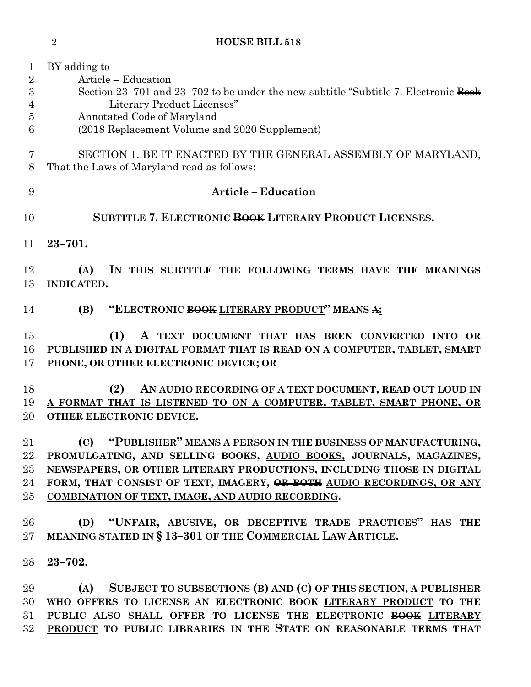BY adding to Article – Education 3 Section 23–701 and 23–702 to be under the new subtitle "Subtitle 7. Electronic Book Literary Product Licenses" Annotated Code of Maryland (2018 Replacement Volume and 2020 Supplement) SECTION 1. BE IT ENACTED BY THE GENERAL ASSEMBLY OF MARYLAND, That the Laws of Maryland read as follows: **Article – Education SUBTITLE 7. ELECTRONIC BOOK LITERARY PRODUCT LICENSES. 23–701. (A) IN THIS SUBTITLE THE FOLLOWING TERMS HAVE THE MEANINGS INDICATED. (B) "ELECTRONIC BOOK LITERARY PRODUCT" MEANS A: (1) A TEXT DOCUMENT THAT HAS BEEN CONVERTED INTO OR PUBLISHED IN A DIGITAL FORMAT THAT IS READ ON A COMPUTER, TABLET, SMART PHONE, OR OTHER ELECTRONIC DEVICE; OR (2) AN AUDIO RECORDING OF A TEXT DOCUMENT, READ OUT LOUD IN A FORMAT THAT IS LISTENED TO ON A COMPUTER, TABLET, SMART PHONE, OR OTHER ELECTRONIC DEVICE. (C) "PUBLISHER" MEANS A PERSON IN THE BUSINESS OF MANUFACTURING, PROMULGATING, AND SELLING BOOKS, AUDIO BOOKS, JOURNALS, MAGAZINES, NEWSPAPERS, OR OTHER LITERARY PRODUCTIONS, INCLUDING THOSE IN DIGITAL FORM, THAT CONSIST OF TEXT, IMAGERY, OR BOTH AUDIO RECORDINGS, OR ANY COMBINATION OF TEXT, IMAGE, AND AUDIO RECORDING. (D) "UNFAIR, ABUSIVE, OR DECEPTIVE TRADE PRACTICES" HAS THE MEANING STATED IN § 13–301 OF THE COMMERCIAL LAW ARTICLE. 23–702. (A) SUBJECT TO SUBSECTIONS (B) AND (C) OF THIS SECTION, A PUBLISHER** 

**HOUSE BILL 518**

 **WHO OFFERS TO LICENSE AN ELECTRONIC BOOK LITERARY PRODUCT TO THE PUBLIC ALSO SHALL OFFER TO LICENSE THE ELECTRONIC BOOK LITERARY PRODUCT TO PUBLIC LIBRARIES IN THE STATE ON REASONABLE TERMS THAT**